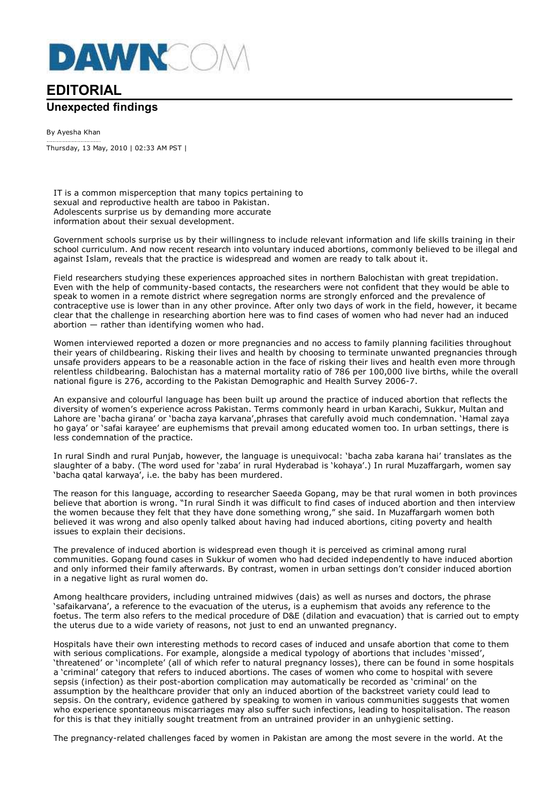

## **EDITORIAL Unexpected findings**

By Ayesha Khan Thursday, 13 May, 2010 | 02:33 AM PST |

IT is a common misperception that many topics pertaining to sexual and reproductive health are taboo in Pakistan. Adolescents surprise us by demanding more accurate information about their sexual development.

Government schools surprise us by their willingness to include relevant information and life skills training in their school curriculum. And now recent research into voluntary induced abortions, commonly believed to be illegal and against Islam, reveals that the practice is widespread and women are ready to talk about it.

Field researchers studying these experiences approached sites in northern Balochistan with great trepidation. Even with the help of community-based contacts, the researchers were not confident that they would be able to speak to women in a remote district where segregation norms are strongly enforced and the prevalence of contraceptive use is lower than in any other province. After only two days of work in the field, however, it became clear that the challenge in researching abortion here was to find cases of women who had never had an induced abortion  $-$  rather than identifying women who had.

Women interviewed reported a dozen or more pregnancies and no access to family planning facilities throughout their years of childbearing. Risking their lives and health by choosing to terminate unwanted pregnancies through unsafe providers appears to be a reasonable action in the face of risking their lives and health even more through relentless childbearing. Balochistan has a maternal mortality ratio of 786 per 100,000 live births, while the overall national figure is 276, according to the Pakistan Demographic and Health Survey 2006-7.

An expansive and colourful language has been built up around the practice of induced abortion that reflects the diversity of women's experience across Pakistan. Terms commonly heard in urban Karachi, Sukkur, Multan and Lahore are 'bacha girana' or 'bacha zaya karvana',phrases that carefully avoid much condemnation. 'Hamal zaya ho gaya' or 'safai karayee' are euphemisms that prevail among educated women too. In urban settings, there is less condemnation of the practice.

In rural Sindh and rural Punjab, however, the language is unequivocal: 'bacha zaba karana hai' translates as the slaughter of a baby. (The word used for 'zaba' in rural Hyderabad is 'kohaya'.) In rural Muzaffargarh, women say 'bacha qatal karwaya', i.e. the baby has been murdered.

The reason for this language, according to researcher Saeeda Gopang, may be that rural women in both provinces believe that abortion is wrong. "In rural Sindh it was difficult to find cases of induced abortion and then interview the women because they felt that they have done something wrong," she said. In Muzaffargarh women both believed it was wrong and also openly talked about having had induced abortions, citing poverty and health issues to explain their decisions.

The prevalence of induced abortion is widespread even though it is perceived as criminal among rural communities. Gopang found cases in Sukkur of women who had decided independently to have induced abortion and only informed their family afterwards. By contrast, women in urban settings don't consider induced abortion in a negative light as rural women do.

Among healthcare providers, including untrained midwives (dais) as well as nurses and doctors, the phrase 'safaikarvana', a reference to the evacuation of the uterus, is a euphemism that avoids any reference to the foetus. The term also refers to the medical procedure of D&E (dilation and evacuation) that is carried out to empty the uterus due to a wide variety of reasons, not just to end an unwanted pregnancy.

Hospitals have their own interesting methods to record cases of induced and unsafe abortion that come to them with serious complications. For example, alongside a medical typology of abortions that includes 'missed', 'threatened' or 'incomplete' (all of which refer to natural pregnancy losses), there can be found in some hospitals a 'criminal' category that refers to induced abortions. The cases of women who come to hospital with severe sepsis (infection) as their post-abortion complication may automatically be recorded as 'criminal' on the assumption by the healthcare provider that only an induced abortion of the backstreet variety could lead to sepsis. On the contrary, evidence gathered by speaking to women in various communities suggests that women who experience spontaneous miscarriages may also suffer such infections, leading to hospitalisation. The reason for this is that they initially sought treatment from an untrained provider in an unhygienic setting.

The pregnancy-related challenges faced by women in Pakistan are among the most severe in the world. At the